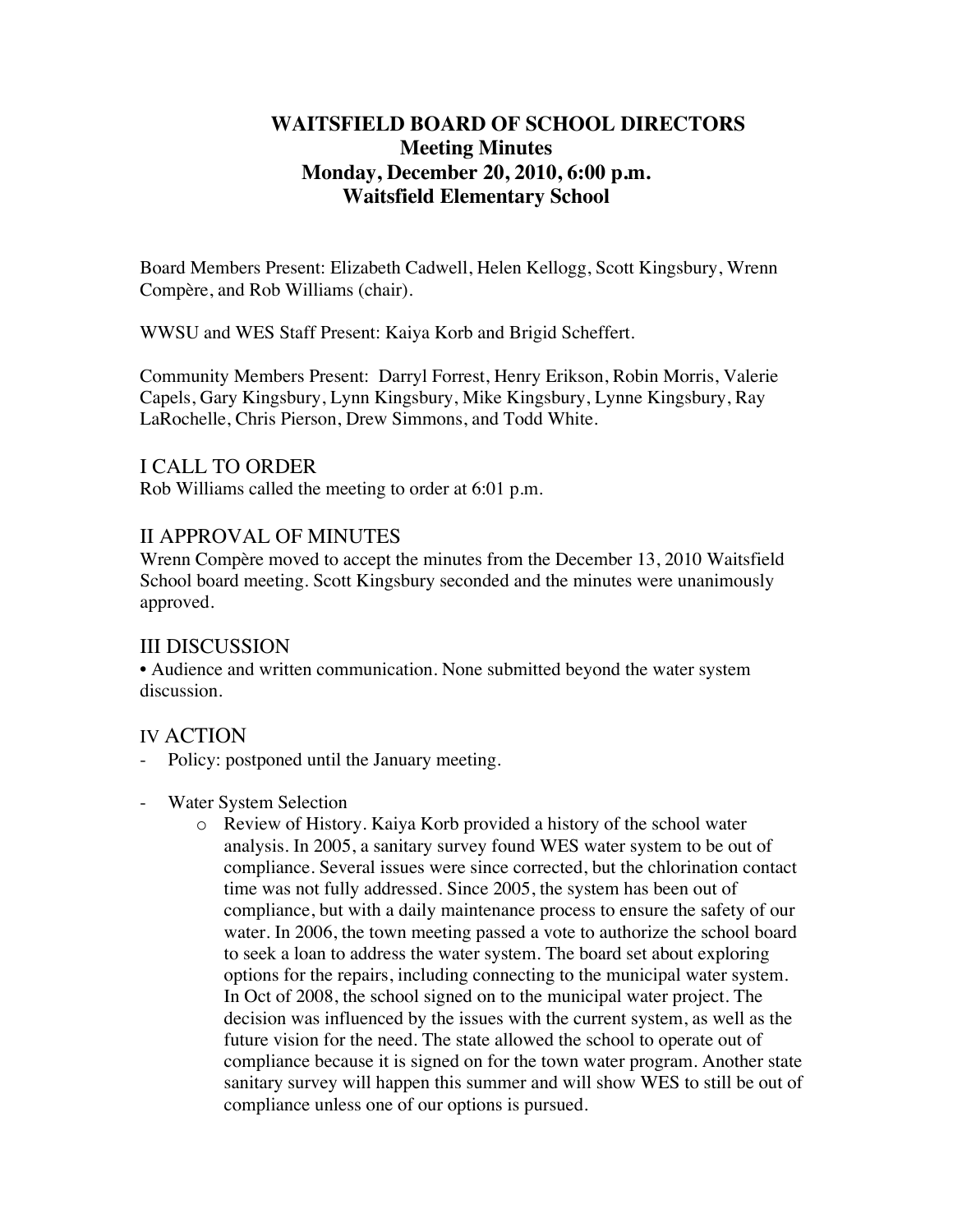## **WAITSFIELD BOARD OF SCHOOL DIRECTORS Meeting Minutes Monday, December 20, 2010, 6:00 p.m. Waitsfield Elementary School**

Board Members Present: Elizabeth Cadwell, Helen Kellogg, Scott Kingsbury, Wrenn Compère, and Rob Williams (chair).

WWSU and WES Staff Present: Kaiya Korb and Brigid Scheffert.

Community Members Present: Darryl Forrest, Henry Erikson, Robin Morris, Valerie Capels, Gary Kingsbury, Lynn Kingsbury, Mike Kingsbury, Lynne Kingsbury, Ray LaRochelle, Chris Pierson, Drew Simmons, and Todd White.

### I CALL TO ORDER

Rob Williams called the meeting to order at 6:01 p.m.

### II APPROVAL OF MINUTES

Wrenn Compère moved to accept the minutes from the December 13, 2010 Waitsfield School board meeting. Scott Kingsbury seconded and the minutes were unanimously approved.

### III DISCUSSION

• Audience and written communication. None submitted beyond the water system discussion.

### IV ACTION

- Policy: postponed until the January meeting.
- Water System Selection
	- o Review of History. Kaiya Korb provided a history of the school water analysis. In 2005, a sanitary survey found WES water system to be out of compliance. Several issues were since corrected, but the chlorination contact time was not fully addressed. Since 2005, the system has been out of compliance, but with a daily maintenance process to ensure the safety of our water. In 2006, the town meeting passed a vote to authorize the school board to seek a loan to address the water system. The board set about exploring options for the repairs, including connecting to the municipal water system. In Oct of 2008, the school signed on to the municipal water project. The decision was influenced by the issues with the current system, as well as the future vision for the need. The state allowed the school to operate out of compliance because it is signed on for the town water program. Another state sanitary survey will happen this summer and will show WES to still be out of compliance unless one of our options is pursued.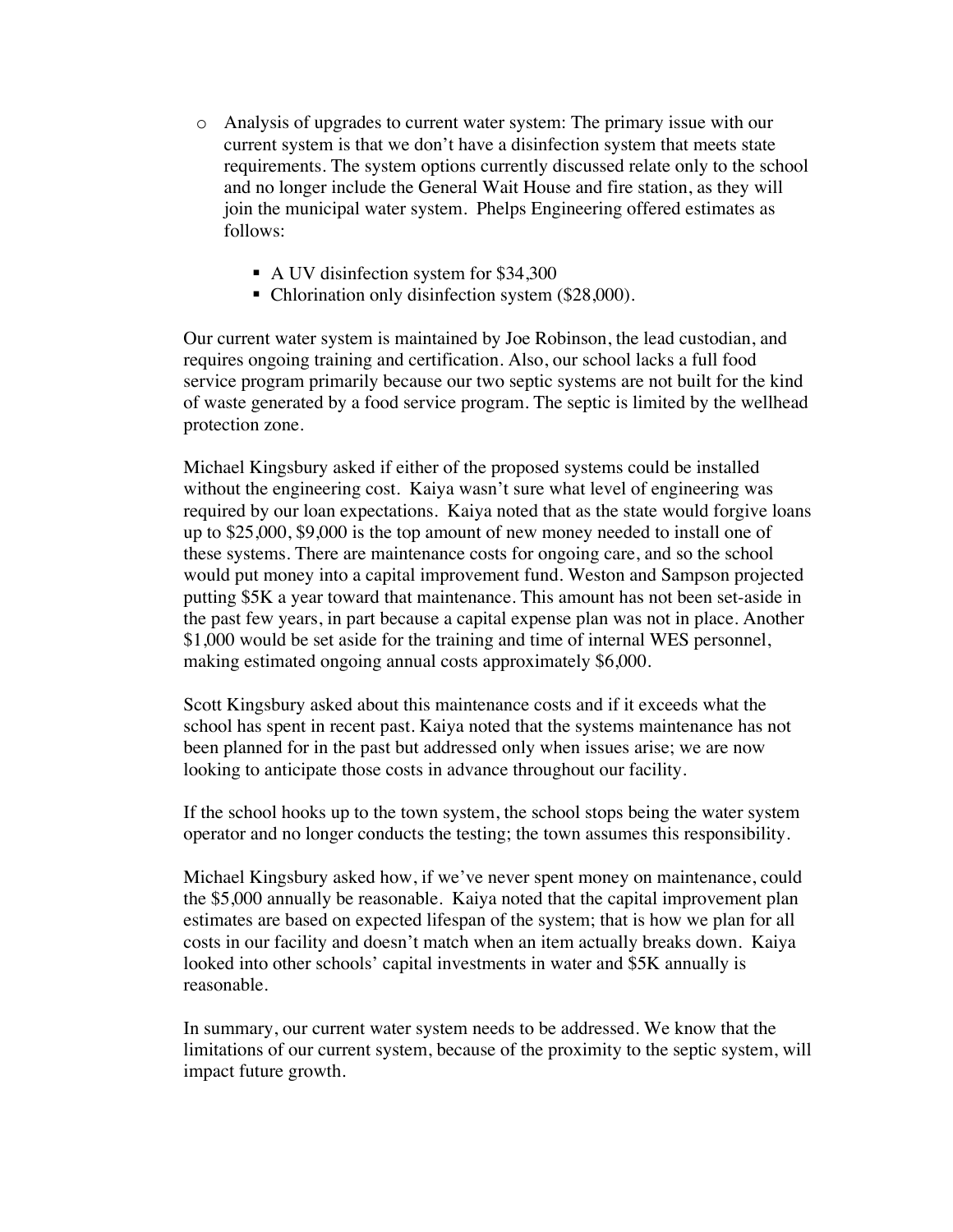- o Analysis of upgrades to current water system: The primary issue with our current system is that we don't have a disinfection system that meets state requirements. The system options currently discussed relate only to the school and no longer include the General Wait House and fire station, as they will join the municipal water system. Phelps Engineering offered estimates as follows:
	- A UV disinfection system for \$34,300
	- Chlorination only disinfection system (\$28,000).

Our current water system is maintained by Joe Robinson, the lead custodian, and requires ongoing training and certification. Also, our school lacks a full food service program primarily because our two septic systems are not built for the kind of waste generated by a food service program. The septic is limited by the wellhead protection zone.

Michael Kingsbury asked if either of the proposed systems could be installed without the engineering cost. Kaiya wasn't sure what level of engineering was required by our loan expectations. Kaiya noted that as the state would forgive loans up to \$25,000, \$9,000 is the top amount of new money needed to install one of these systems. There are maintenance costs for ongoing care, and so the school would put money into a capital improvement fund. Weston and Sampson projected putting \$5K a year toward that maintenance. This amount has not been set-aside in the past few years, in part because a capital expense plan was not in place. Another \$1,000 would be set aside for the training and time of internal WES personnel, making estimated ongoing annual costs approximately \$6,000.

Scott Kingsbury asked about this maintenance costs and if it exceeds what the school has spent in recent past. Kaiya noted that the systems maintenance has not been planned for in the past but addressed only when issues arise; we are now looking to anticipate those costs in advance throughout our facility.

If the school hooks up to the town system, the school stops being the water system operator and no longer conducts the testing; the town assumes this responsibility.

Michael Kingsbury asked how, if we've never spent money on maintenance, could the \$5,000 annually be reasonable. Kaiya noted that the capital improvement plan estimates are based on expected lifespan of the system; that is how we plan for all costs in our facility and doesn't match when an item actually breaks down. Kaiya looked into other schools' capital investments in water and \$5K annually is reasonable.

In summary, our current water system needs to be addressed. We know that the limitations of our current system, because of the proximity to the septic system, will impact future growth.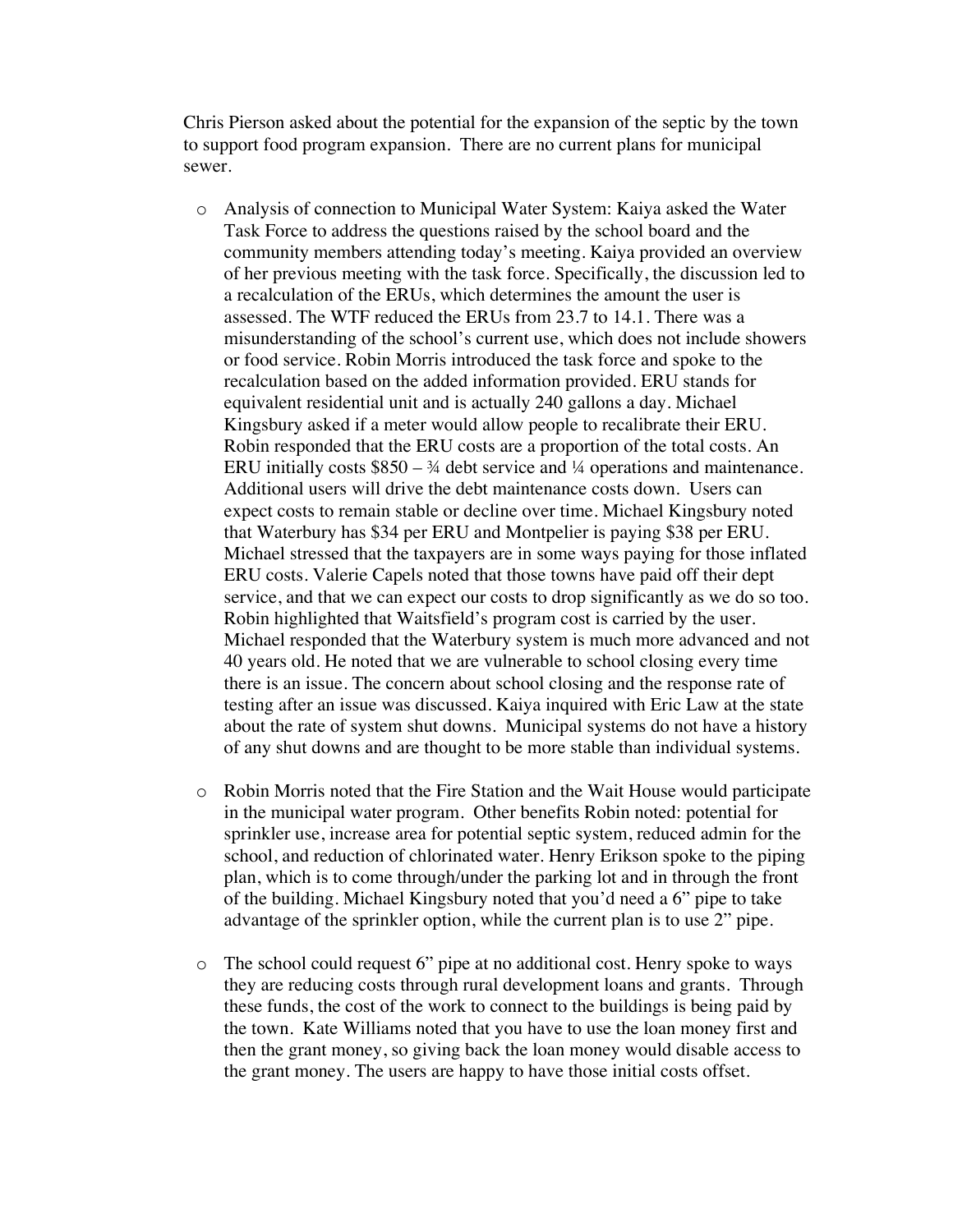Chris Pierson asked about the potential for the expansion of the septic by the town to support food program expansion. There are no current plans for municipal sewer.

- o Analysis of connection to Municipal Water System: Kaiya asked the Water Task Force to address the questions raised by the school board and the community members attending today's meeting. Kaiya provided an overview of her previous meeting with the task force. Specifically, the discussion led to a recalculation of the ERUs, which determines the amount the user is assessed. The WTF reduced the ERUs from 23.7 to 14.1. There was a misunderstanding of the school's current use, which does not include showers or food service. Robin Morris introduced the task force and spoke to the recalculation based on the added information provided. ERU stands for equivalent residential unit and is actually 240 gallons a day. Michael Kingsbury asked if a meter would allow people to recalibrate their ERU. Robin responded that the ERU costs are a proportion of the total costs. An ERU initially costs  $$850 - \frac{3}{4}$  debt service and  $\frac{1}{4}$  operations and maintenance. Additional users will drive the debt maintenance costs down. Users can expect costs to remain stable or decline over time. Michael Kingsbury noted that Waterbury has \$34 per ERU and Montpelier is paying \$38 per ERU. Michael stressed that the taxpayers are in some ways paying for those inflated ERU costs. Valerie Capels noted that those towns have paid off their dept service, and that we can expect our costs to drop significantly as we do so too. Robin highlighted that Waitsfield's program cost is carried by the user. Michael responded that the Waterbury system is much more advanced and not 40 years old. He noted that we are vulnerable to school closing every time there is an issue. The concern about school closing and the response rate of testing after an issue was discussed. Kaiya inquired with Eric Law at the state about the rate of system shut downs. Municipal systems do not have a history of any shut downs and are thought to be more stable than individual systems.
- o Robin Morris noted that the Fire Station and the Wait House would participate in the municipal water program. Other benefits Robin noted: potential for sprinkler use, increase area for potential septic system, reduced admin for the school, and reduction of chlorinated water. Henry Erikson spoke to the piping plan, which is to come through/under the parking lot and in through the front of the building. Michael Kingsbury noted that you'd need a 6" pipe to take advantage of the sprinkler option, while the current plan is to use 2" pipe.
- o The school could request 6" pipe at no additional cost. Henry spoke to ways they are reducing costs through rural development loans and grants. Through these funds, the cost of the work to connect to the buildings is being paid by the town. Kate Williams noted that you have to use the loan money first and then the grant money, so giving back the loan money would disable access to the grant money. The users are happy to have those initial costs offset.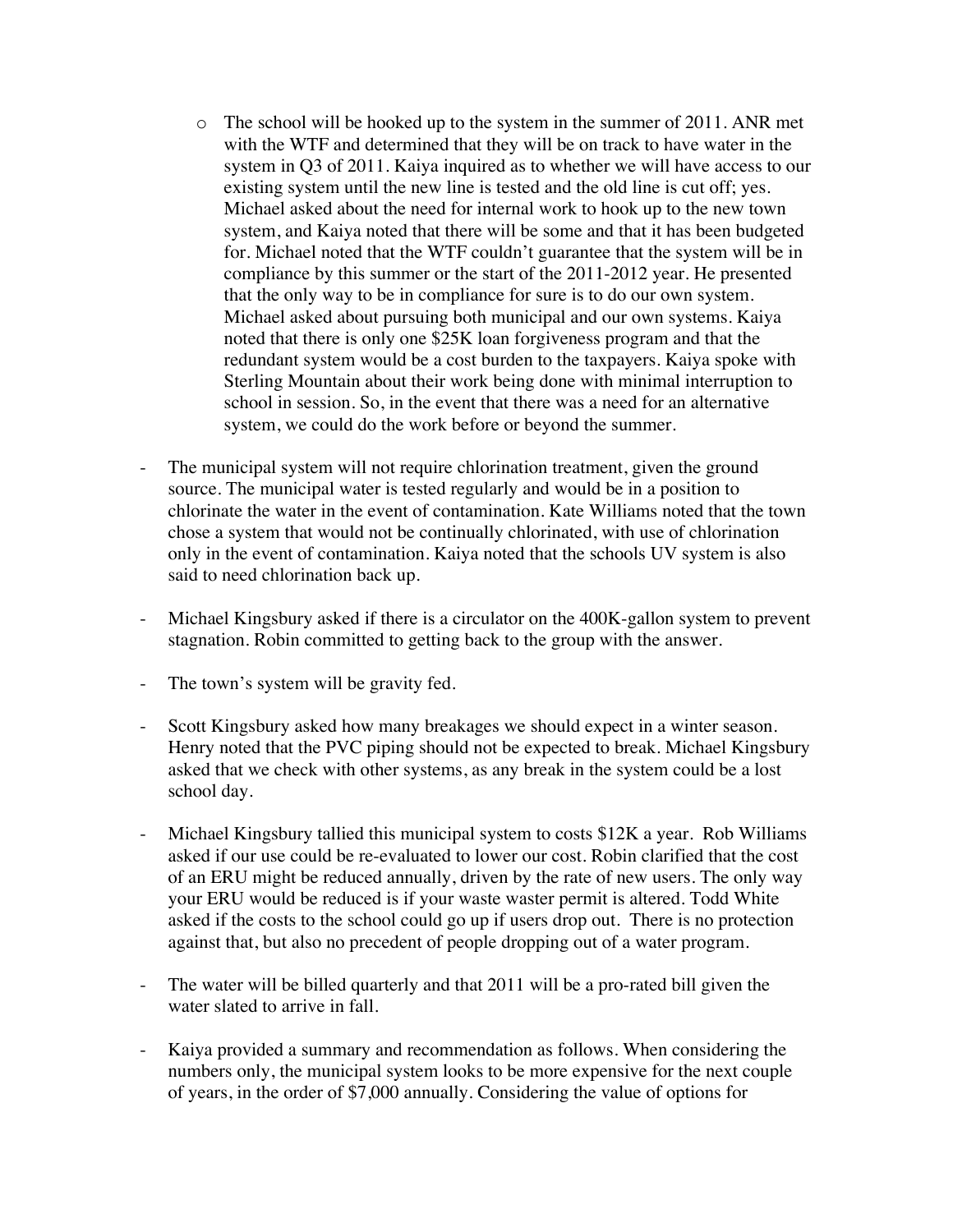- $\circ$  The school will be hooked up to the system in the summer of 2011. ANR met with the WTF and determined that they will be on track to have water in the system in Q3 of 2011. Kaiya inquired as to whether we will have access to our existing system until the new line is tested and the old line is cut off; yes. Michael asked about the need for internal work to hook up to the new town system, and Kaiya noted that there will be some and that it has been budgeted for. Michael noted that the WTF couldn't guarantee that the system will be in compliance by this summer or the start of the 2011-2012 year. He presented that the only way to be in compliance for sure is to do our own system. Michael asked about pursuing both municipal and our own systems. Kaiya noted that there is only one \$25K loan forgiveness program and that the redundant system would be a cost burden to the taxpayers. Kaiya spoke with Sterling Mountain about their work being done with minimal interruption to school in session. So, in the event that there was a need for an alternative system, we could do the work before or beyond the summer.
- The municipal system will not require chlorination treatment, given the ground source. The municipal water is tested regularly and would be in a position to chlorinate the water in the event of contamination. Kate Williams noted that the town chose a system that would not be continually chlorinated, with use of chlorination only in the event of contamination. Kaiya noted that the schools UV system is also said to need chlorination back up.
- Michael Kingsbury asked if there is a circulator on the 400K-gallon system to prevent stagnation. Robin committed to getting back to the group with the answer.
- The town's system will be gravity fed.
- Scott Kingsbury asked how many breakages we should expect in a winter season. Henry noted that the PVC piping should not be expected to break. Michael Kingsbury asked that we check with other systems, as any break in the system could be a lost school day.
- Michael Kingsbury tallied this municipal system to costs \$12K a year. Rob Williams asked if our use could be re-evaluated to lower our cost. Robin clarified that the cost of an ERU might be reduced annually, driven by the rate of new users. The only way your ERU would be reduced is if your waste waster permit is altered. Todd White asked if the costs to the school could go up if users drop out. There is no protection against that, but also no precedent of people dropping out of a water program.
- The water will be billed quarterly and that 2011 will be a pro-rated bill given the water slated to arrive in fall.
- Kaiya provided a summary and recommendation as follows. When considering the numbers only, the municipal system looks to be more expensive for the next couple of years, in the order of \$7,000 annually. Considering the value of options for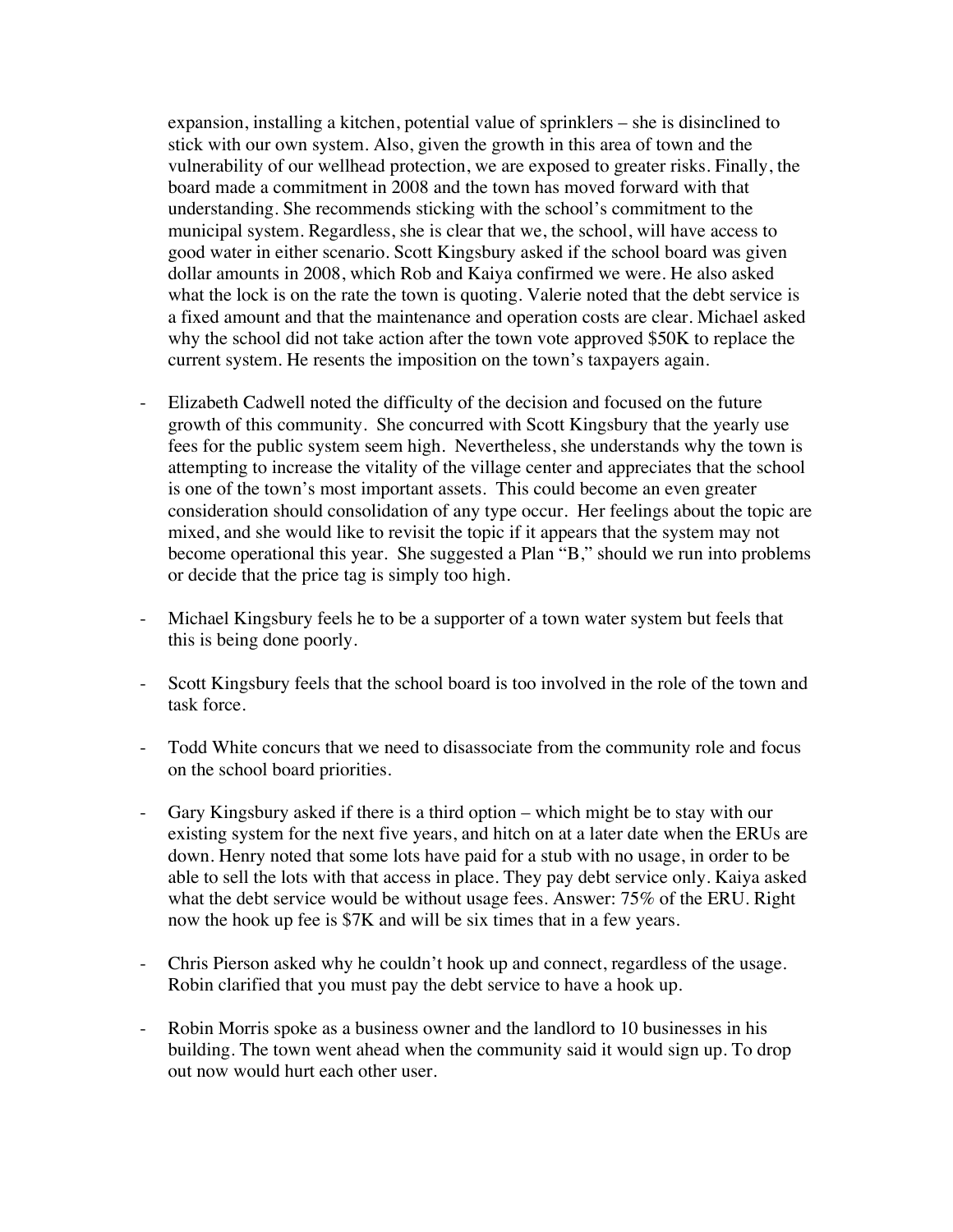expansion, installing a kitchen, potential value of sprinklers – she is disinclined to stick with our own system. Also, given the growth in this area of town and the vulnerability of our wellhead protection, we are exposed to greater risks. Finally, the board made a commitment in 2008 and the town has moved forward with that understanding. She recommends sticking with the school's commitment to the municipal system. Regardless, she is clear that we, the school, will have access to good water in either scenario. Scott Kingsbury asked if the school board was given dollar amounts in 2008, which Rob and Kaiya confirmed we were. He also asked what the lock is on the rate the town is quoting. Valerie noted that the debt service is a fixed amount and that the maintenance and operation costs are clear. Michael asked why the school did not take action after the town vote approved \$50K to replace the current system. He resents the imposition on the town's taxpayers again.

- Elizabeth Cadwell noted the difficulty of the decision and focused on the future growth of this community. She concurred with Scott Kingsbury that the yearly use fees for the public system seem high. Nevertheless, she understands why the town is attempting to increase the vitality of the village center and appreciates that the school is one of the town's most important assets. This could become an even greater consideration should consolidation of any type occur. Her feelings about the topic are mixed, and she would like to revisit the topic if it appears that the system may not become operational this year. She suggested a Plan "B," should we run into problems or decide that the price tag is simply too high.
- Michael Kingsbury feels he to be a supporter of a town water system but feels that this is being done poorly.
- Scott Kingsbury feels that the school board is too involved in the role of the town and task force.
- Todd White concurs that we need to disassociate from the community role and focus on the school board priorities.
- Gary Kingsbury asked if there is a third option which might be to stay with our existing system for the next five years, and hitch on at a later date when the ERUs are down. Henry noted that some lots have paid for a stub with no usage, in order to be able to sell the lots with that access in place. They pay debt service only. Kaiya asked what the debt service would be without usage fees. Answer: 75% of the ERU. Right now the hook up fee is \$7K and will be six times that in a few years.
- Chris Pierson asked why he couldn't hook up and connect, regardless of the usage. Robin clarified that you must pay the debt service to have a hook up.
- Robin Morris spoke as a business owner and the landlord to 10 businesses in his building. The town went ahead when the community said it would sign up. To drop out now would hurt each other user.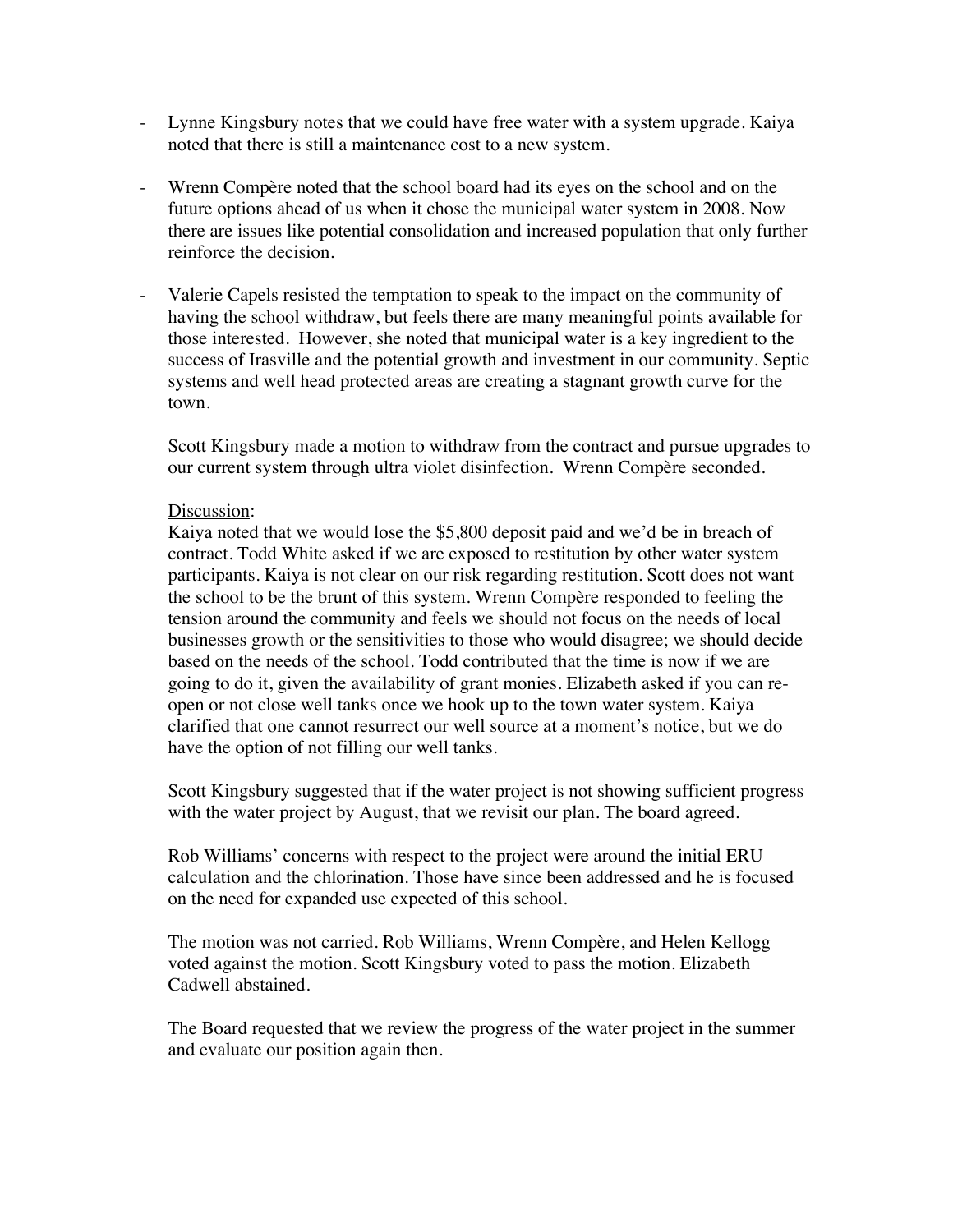- Lynne Kingsbury notes that we could have free water with a system upgrade. Kaiya noted that there is still a maintenance cost to a new system.
- Wrenn Compère noted that the school board had its eyes on the school and on the future options ahead of us when it chose the municipal water system in 2008. Now there are issues like potential consolidation and increased population that only further reinforce the decision.
- Valerie Capels resisted the temptation to speak to the impact on the community of having the school withdraw, but feels there are many meaningful points available for those interested. However, she noted that municipal water is a key ingredient to the success of Irasville and the potential growth and investment in our community. Septic systems and well head protected areas are creating a stagnant growth curve for the town.

Scott Kingsbury made a motion to withdraw from the contract and pursue upgrades to our current system through ultra violet disinfection. Wrenn Compère seconded.

#### Discussion:

Kaiya noted that we would lose the \$5,800 deposit paid and we'd be in breach of contract. Todd White asked if we are exposed to restitution by other water system participants. Kaiya is not clear on our risk regarding restitution. Scott does not want the school to be the brunt of this system. Wrenn Compère responded to feeling the tension around the community and feels we should not focus on the needs of local businesses growth or the sensitivities to those who would disagree; we should decide based on the needs of the school. Todd contributed that the time is now if we are going to do it, given the availability of grant monies. Elizabeth asked if you can reopen or not close well tanks once we hook up to the town water system. Kaiya clarified that one cannot resurrect our well source at a moment's notice, but we do have the option of not filling our well tanks.

Scott Kingsbury suggested that if the water project is not showing sufficient progress with the water project by August, that we revisit our plan. The board agreed.

Rob Williams' concerns with respect to the project were around the initial ERU calculation and the chlorination. Those have since been addressed and he is focused on the need for expanded use expected of this school.

The motion was not carried. Rob Williams, Wrenn Compère, and Helen Kellogg voted against the motion. Scott Kingsbury voted to pass the motion. Elizabeth Cadwell abstained.

The Board requested that we review the progress of the water project in the summer and evaluate our position again then.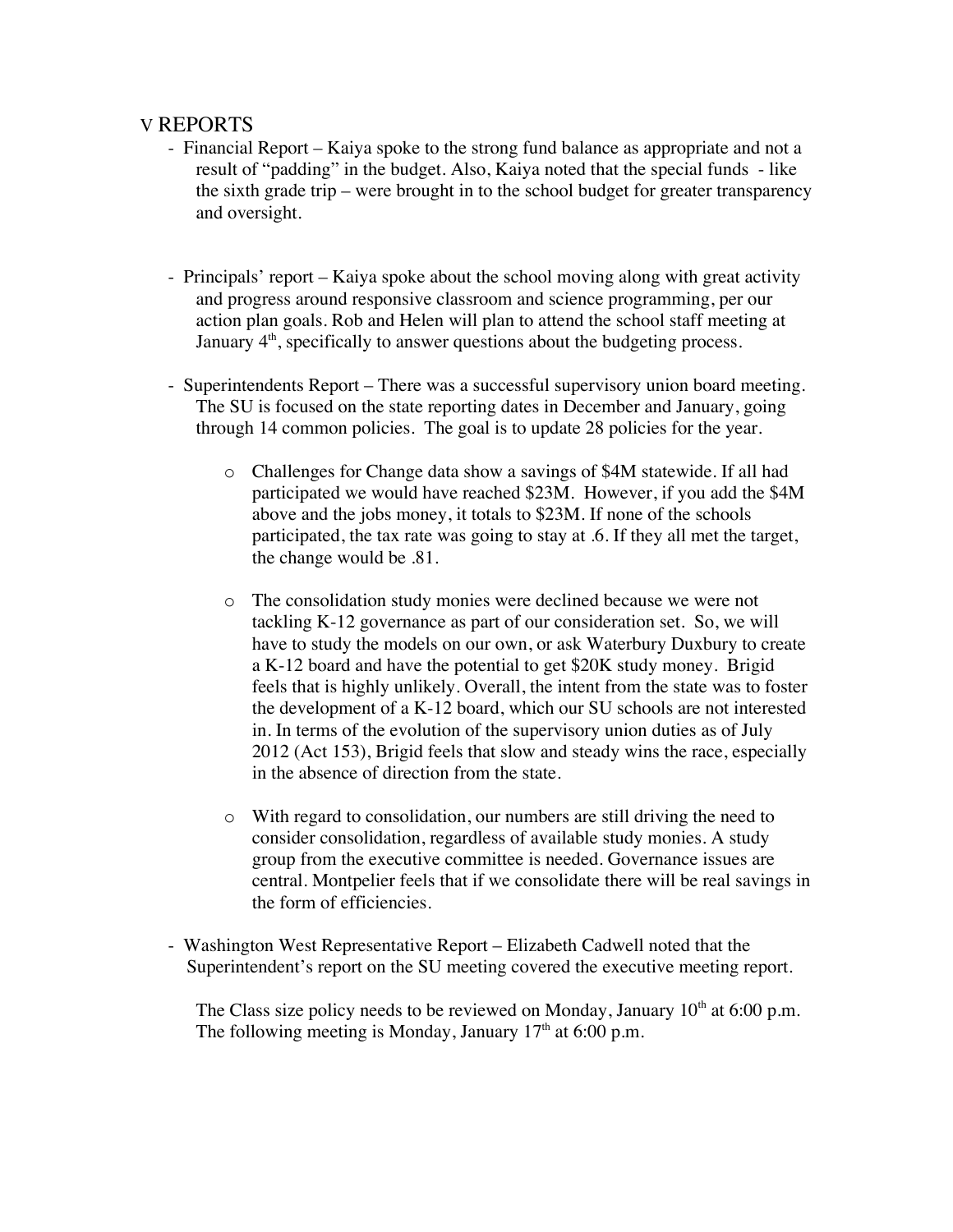#### V REPORTS

- Financial Report Kaiya spoke to the strong fund balance as appropriate and not a result of "padding" in the budget. Also, Kaiya noted that the special funds - like the sixth grade trip – were brought in to the school budget for greater transparency and oversight.
- Principals' report Kaiya spoke about the school moving along with great activity and progress around responsive classroom and science programming, per our action plan goals. Rob and Helen will plan to attend the school staff meeting at January  $4<sup>th</sup>$ , specifically to answer questions about the budgeting process.
- Superintendents Report There was a successful supervisory union board meeting. The SU is focused on the state reporting dates in December and January, going through 14 common policies. The goal is to update 28 policies for the year.
	- o Challenges for Change data show a savings of \$4M statewide. If all had participated we would have reached \$23M. However, if you add the \$4M above and the jobs money, it totals to \$23M. If none of the schools participated, the tax rate was going to stay at .6. If they all met the target, the change would be .81.
	- o The consolidation study monies were declined because we were not tackling K-12 governance as part of our consideration set. So, we will have to study the models on our own, or ask Waterbury Duxbury to create a K-12 board and have the potential to get \$20K study money. Brigid feels that is highly unlikely. Overall, the intent from the state was to foster the development of a K-12 board, which our SU schools are not interested in. In terms of the evolution of the supervisory union duties as of July 2012 (Act 153), Brigid feels that slow and steady wins the race, especially in the absence of direction from the state.
	- o With regard to consolidation, our numbers are still driving the need to consider consolidation, regardless of available study monies. A study group from the executive committee is needed. Governance issues are central. Montpelier feels that if we consolidate there will be real savings in the form of efficiencies.
- Washington West Representative Report Elizabeth Cadwell noted that the Superintendent's report on the SU meeting covered the executive meeting report.

The Class size policy needs to be reviewed on Monday, January  $10^{th}$  at 6:00 p.m. The following meeting is Monday, January  $17<sup>th</sup>$  at 6:00 p.m.